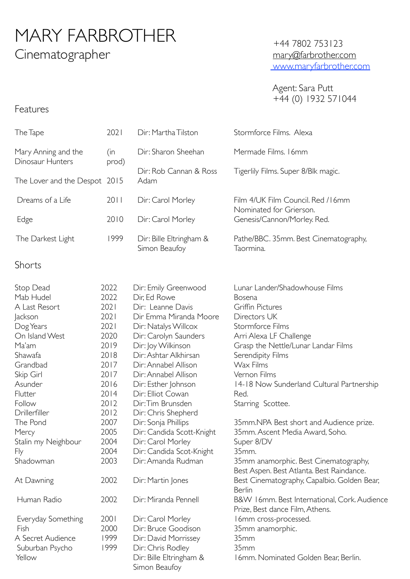# MARY FARBROTHER Cinematographer

### +44 7802 753123 [mary@farbrother.com](mailto:mary@farbrother.com) [www.maryfarbrother.com](http://www.maryfarbrother.com)

 Agent: Sara Putt +44 (0) 1932 571044

| The Tape                                                                                                                                                                                                                                        | 2021                                                                                                                                                 | Dir: Martha Tilston                                                                                                                                                                                                                                                                                                                                                                                                                                    | Stormforce Films. Alexa                                                                                                                                                                                                                                                                                                                                                                                                                      |  |
|-------------------------------------------------------------------------------------------------------------------------------------------------------------------------------------------------------------------------------------------------|------------------------------------------------------------------------------------------------------------------------------------------------------|--------------------------------------------------------------------------------------------------------------------------------------------------------------------------------------------------------------------------------------------------------------------------------------------------------------------------------------------------------------------------------------------------------------------------------------------------------|----------------------------------------------------------------------------------------------------------------------------------------------------------------------------------------------------------------------------------------------------------------------------------------------------------------------------------------------------------------------------------------------------------------------------------------------|--|
| Mary Anning and the<br>Dinosaur Hunters                                                                                                                                                                                                         | (in<br>prod)                                                                                                                                         | Dir: Sharon Sheehan                                                                                                                                                                                                                                                                                                                                                                                                                                    | Mermade Films. 16mm                                                                                                                                                                                                                                                                                                                                                                                                                          |  |
| The Lover and the Despot 2015                                                                                                                                                                                                                   |                                                                                                                                                      | Dir: Rob Cannan & Ross<br>Adam                                                                                                                                                                                                                                                                                                                                                                                                                         | Tigerlily Films. Super 8/Blk magic.                                                                                                                                                                                                                                                                                                                                                                                                          |  |
| Dreams of a Life                                                                                                                                                                                                                                | 2011                                                                                                                                                 | Dir: Carol Morley                                                                                                                                                                                                                                                                                                                                                                                                                                      | Film 4/UK Film Council. Red / 16mm                                                                                                                                                                                                                                                                                                                                                                                                           |  |
| Edge                                                                                                                                                                                                                                            | 2010                                                                                                                                                 | Dir: Carol Morley                                                                                                                                                                                                                                                                                                                                                                                                                                      | Nominated for Grierson.<br>Genesis/Cannon/Morley. Red.                                                                                                                                                                                                                                                                                                                                                                                       |  |
| The Darkest Light                                                                                                                                                                                                                               | 1999                                                                                                                                                 | Dir: Bille Eltringham &<br>Simon Beaufoy                                                                                                                                                                                                                                                                                                                                                                                                               | Pathe/BBC. 35mm. Best Cinematography,<br>Taormina.                                                                                                                                                                                                                                                                                                                                                                                           |  |
| Shorts                                                                                                                                                                                                                                          |                                                                                                                                                      |                                                                                                                                                                                                                                                                                                                                                                                                                                                        |                                                                                                                                                                                                                                                                                                                                                                                                                                              |  |
| Stop Dead<br>Mab Hudel<br>A Last Resort<br>Jackson<br>Dog Years<br>On Island West<br>Ma'am<br>Shawafa<br>Grandbad<br>Skip Girl<br>Asunder<br>Flutter<br>Follow<br>Drillerfiller<br>The Pond<br>Mercy<br>Stalin my Neighbour<br>Fly<br>Shadowman | 2022<br>2022<br>2021<br>2021<br>2021<br>2020<br>2019<br>2018<br>2017<br>2017<br>2016<br>2014<br>2012<br>2012<br>2007<br>2005<br>2004<br>2004<br>2003 | Dir: Emily Greenwood<br>Dir, Ed Rowe<br>Dir: Leanne Davis<br>Dir Emma Miranda Moore<br>Dir: Natalys Willcox<br>Dir: Carolyn Saunders<br>Dir: Joy Wilkinson<br>Dir: Ashtar Alkhirsan<br>Dir: Annabel Allison<br>Dir: Annabel Allison<br>Dir: Esther Johnson<br>Dir: Elliot Cowan<br>Dir: Tim Brunsden<br>Dir: Chris Shepherd<br>Dir: Sonja Phillips<br>Dir: Candida Scott-Knight<br>Dir: Carol Morley<br>Dir: Candida Scot-Knight<br>Dir: Amanda Rudman | Lunar Lander/Shadowhouse Films<br>Bosena<br>Griffin Pictures<br>Directors UK<br>Stormforce Films<br>Arri Alexa LF Challenge<br>Grasp the Nettle/Lunar Landar Films<br>Serendipity Films<br>Wax Films<br>Vernon Films<br>14-18 Now Sunderland Cultural Partnership<br>Red.<br>Starring Scottee.<br>35mm.NPA Best short and Audience prize.<br>35mm. Ascent Media Award, Soho.<br>Super 8/DV<br>35mm.<br>35mm anamorphic. Best Cinematography, |  |
| At Dawning                                                                                                                                                                                                                                      | 2002                                                                                                                                                 | Dir: Martin Jones                                                                                                                                                                                                                                                                                                                                                                                                                                      | Best Aspen. Best Atlanta. Best Raindance.<br>Best Cinematography, Capalbio. Golden Bear,                                                                                                                                                                                                                                                                                                                                                     |  |
| Human Radio                                                                                                                                                                                                                                     | 2002                                                                                                                                                 | Dir: Miranda Pennell                                                                                                                                                                                                                                                                                                                                                                                                                                   | <b>Berlin</b><br>B&W 16mm. Best International, Cork. Audience<br>Prize, Best dance Film, Athens.                                                                                                                                                                                                                                                                                                                                             |  |
| Everyday Something<br>Fish<br>A Secret Audience<br>Suburban Psycho<br>Yellow                                                                                                                                                                    | 2001<br>2000<br>1999<br>1999                                                                                                                         | Dir: Carol Morley<br>Dir: Bruce Goodison<br>Dir: David Morrissey<br>Dir: Chris Rodley<br>Dir: Bille Eltringham &<br>Simon Beaufoy                                                                                                                                                                                                                                                                                                                      | 16mm cross-processed.<br>35mm anamorphic.<br>35mm<br>35mm<br>16mm. Nominated Golden Bear, Berlin.                                                                                                                                                                                                                                                                                                                                            |  |

# Features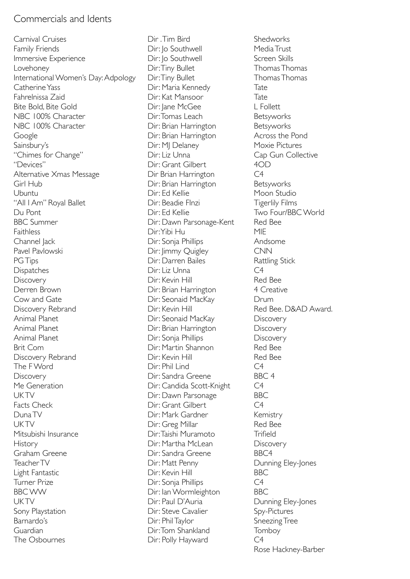### Commercials and Idents

Carnival Cruises Family Friends Immersive Experience Lovehoney International Women's Day: Adpology Catherine Yass Fahrelnissa Zaid Bite Bold, Bite Gold NBC 100% Character NBC 100% Character Google Sainsbury's "Chimes for Change" "Devices" Alternative Xmas Message Girl Hub Ubuntu "All I Am" Royal Ballet Du Pont BBC Summer Faithless Channel Jack Pavel Pavlowski PG Tips Dispatches **Discovery** Derren Brown Cow and Gate Discovery Rebrand Animal Planet Animal Planet Animal Planet Brit Com Discovery Rebrand The F Word **Discovery** Me Generation **UKTV** Facts Check Duna TV **UKTV** Mitsubishi Insurance **History** Graham Greene Teacher TV Light Fantastic Turner Prize BBC WW **UK TV** Sony Playstation Barnardo's Guardian The Osbournes

Dir . Tim Bird Dir: Jo Southwell Dir: Jo Southwell Dir: Tiny Bullet Dir: Tiny Bullet Dir: Maria Kennedy Dir: Kat Mansoor Dir: Jane McGee Dir: Tomas Leach Dir: Brian Harrington Dir: Brian Harrington Dir: MJ Delaney Dir: Liz Unna Dir: Grant Gilbert Dir Brian Harrington Dir: Brian Harrington Dir: Ed Kellie Dir: Beadie FInzi Dir: Ed Kellie Dir: Dawn Parsonage-Kent Dir: Yibi Hu Dir: Sonja Phillips Dir: Jimmy Quigley Dir: Darren Bailes Dir: Liz Unna Dir: Kevin Hill Dir: Brian Harrington Dir: Seonaid MacKay Dir: Kevin Hill Dir: Seonaid MacKay Dir: Brian Harrington Dir: Sonja Phillips Dir: Martin Shannon Dir: Kevin Hill Dir: Phil Lind Dir: Sandra Greene Dir: Candida Scott-Knight Dir: Dawn Parsonage Dir: Grant Gilbert Dir: Mark Gardner Dir: Greg Millar Dir: Taishi Muramoto Dir: Martha McLean Dir: Sandra Greene Dir: Matt Penny Dir: Kevin Hill Dir: Sonja Phillips Dir: Ian Wormleighton Dir: Paul D'Auria Dir: Steve Cavalier Dir: Phil Taylor Dir: Tom Shankland Dir: Polly Hayward

**Shedworks** Media Trust Screen Skills Thomas Thomas Thomas Thomas Tate Tate L Follett Betsyworks Betsyworks Across the Pond Moxie Pictures Cap Gun Collective  $40D$  $C<sub>4</sub>$ Betsyworks Moon Studio Tigerlily Films Two Four/BBC World Red Bee MIE Andsome CNN Rattling Stick  $C<sub>4</sub>$ Red Bee 4 Creative Drum Red Bee. D&AD Award. **Discovery Discovery Discovery** Red Bee Red Bee  $\overline{C}4$ BBC 4  $C4$ BBC  $C<sub>4</sub>$ Kemistry Red Bee **Trifield Discovery** BBC4 Dunning Eley-Jones BBC  $C4$ BBC Dunning Eley-Jones Spy-Pictures Sneezing Tree Tomboy  $C<sub>4</sub>$ Rose Hackney-Barber